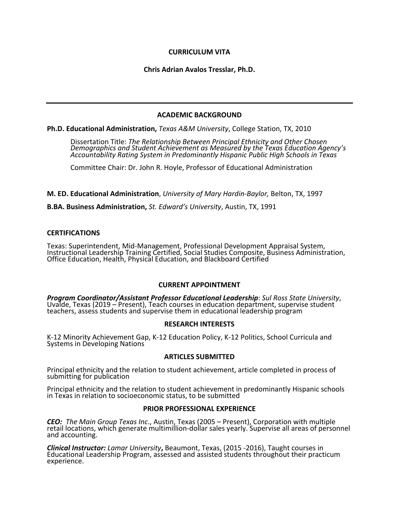# **CURRICULUM VITA**

**Chris Adrian Avalos Tresslar, Ph.D.** 

# **ACADEMIC BACKGROUND**

## **Ph.D. Educational Administration,** *Texas A&M University***, College Station, TX, 2010**

Dissertation Title: The Relationship Between Principal Ethnicity and Other Chosen<br>Demographics and Student Achievement as Measured by the Texas Education Agency's<br>Accountability Rating System in Predominantly Hispanic Publ

Committee Chair: Dr. John R. Hoyle, Professor of Educational Administration

**M. ED. Educational Administration**, *University of Mary Hardin-Baylor*, Belton, TX, 1997

**B.BA. Business Administration, St. Edward's University, Austin, TX, 1991** 

# **CERTIFICATIONS**

Texas: Superintendent, Mid-Management, Professional Development Appraisal System,<br>Instructional Leadership Training Certified, Social Studies Composite, Business Administration,<br>Office Education, Health, Physical Education

# **CURRENT APPOINTMENT**

**Program Coordinator/Assistant Professor Educational Leadership**: Sul Ross State University, Uvalde, Texas (2019 – Present), Teach courses in education department, supervise student teachers, assess students and supervise

## **RESEARCH INTERESTS**

K-12 Minority Achievement Gap, K-12 Education Policy, K-12 Politics, School Curricula and Systems in Developing Nations

## **ARTICLES SUBMITTED**

Principal ethnicity and the relation to student achievement, article completed in process of submitting for publication

Principal ethnicity and the relation to student achievement in predominantly Hispanic schools in Texas in relation to socioeconomic status, to be submitted

## **PRIOR PROFESSIONAL EXPERIENCE**

**CEO:** The Main Group Texas Inc., Austin, Texas (2005 – Present), Corporation with multiple retail locations, which generate multimillion-dollar sales yearly. Supervise all areas of personnel and accounting.

**Clinical Instructor:** Lamar University, Beaumont, Texas, (2015 -2016), Taught courses in<br>Educational Leadership Program, assessed and assisted students throughout their practicum experience.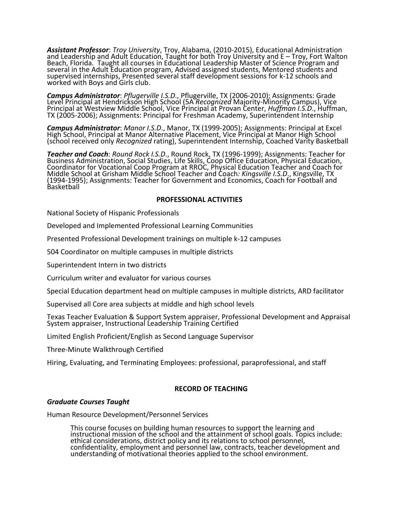**Assistant Professor**: Troy University, Troy, Alabama, (2010-2015), Educational Administration<br>and Leadership and Adult Education, Taught for both Troy University and E – Troy, Fort Walton<br>Beach, Florida. Taught all course several in the Adult Education program, Advised assigned students, Mentored students and<br>supervised internships, Presented several staff development sessions for k-12 schools and supervised internships, Presented several staff development sessions for k-12 schools and worked with Boys and Girls club.

**Campus Administrator**: *Pflugerville I.S.D.*, Pflugerville, TX (2006-2010); Assignments: Grade<br>Level Principal at Hendrickson High School (5A *Recognized M*ajority-Minority Campus), Vice Principal at Westview Middle School, Vice Principal at Provan Center, *Huffman I.S.D.*, Huffman, TX (2005-2006); Assignments: Principal for Freshman Academy, Superintendent Internship

**Campus Administrator**: *Manor I.S.D.,* Manor, TX (1999-2005); Assignments: Principal at Excel<br>High School, Principal at Manor Alternative Placement, Vice Principal at Manor High School (school received only *Recognized* rating), Superintendent Internship, Coached Varity Basketball

**Teacher and Coach**: *Round Rock I.S.D.*, Round Rock, TX (1996-1999); Assignments: Teacher for<br>Business Administration, Social Studies, Life Skills, Coop Office Education, Physical Education, Coordinator for Vocational Coop Program at RROC, Physical Education Teacher and Coach for Middle School at Grisham Middle School Teacher and Coach*: Kingsville I.S.D.,* Kingsville, TX<br>(1994-1995); Assignments: Teacher for Government and Economics, Coach for Football and Basketball

### **PROFESSIONAL ACTIVITIES**

National Society of Hispanic Professionals

Developed and Implemented Professional Learning Communities

Presented Professional Development trainings on multiple k-12 campuses

504 Coordinator on multiple campuses in multiple districts

Superintendent Intern in two districts

Curriculum writer and evaluator for various courses

Special Education department head on multiple campuses in multiple districts, ARD facilitator

Supervised all Core area subjects at middle and high school levels

Texas Teacher Evaluation & Support System appraiser, Professional Development and Appraisal System appraiser, Instructional Leadership Training Certified

Limited English Proficient/English as Second Language Supervisor

Three-Minute Walkthrough Certified

Hiring, Evaluating, and Terminating Employees: professional, paraprofessional, and staff

## **RECORD OF TEACHING**

## *Graduate Courses Taught*

Human Resource Development/Personnel Services

This course focuses on building human resources to support the learning and instructional mission of the school and the attainment of school goals. Topics include: ethical considerations, district policy and its relations to school personnel, confidentiality, employment and personnel law, contracts, teacher development and understanding of motivational theories applied to the school environment.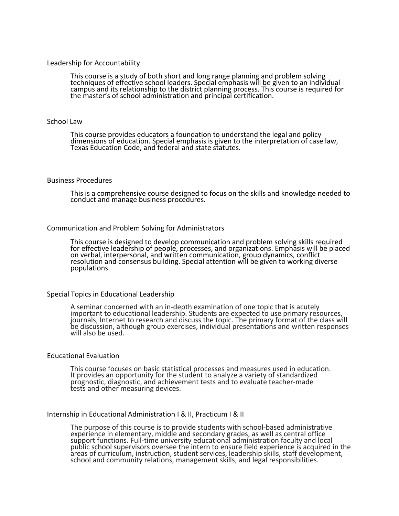### Leadership for Accountability

This course is a study of both short and long range planning and problem solving techniques of effective school leaders. Special emphasis will be given to an individual<br>campus and its relationship to the district planning process. This course is required for the master's of school administration and principal certification.

#### School Law

This course provides educators a foundation to understand the legal and policy<br>dimensions of education. Special emphasis is given to the interpretation of case law,<br>Texas Education Code, and federal and state statutes.

#### Business Procedures

This is a comprehensive course designed to focus on the skills and knowledge needed to conduct and manage business procedures.

### Communication and Problem Solving for Administrators

This course is designed to develop communication and problem solving skills required for effective leadership of people, processes, and organizations. Emphasis will be placed on verbal, interpersonal, and written communication, group dynamics, conflict resolution and consensus building. Special attention will be given to working diverse populations.

### Special Topics in Educational Leadership

A seminar concerned with an in-depth examination of one topic that is acutely<br>important to educational leadership. Students are expected to use primary resources, journals, Internet to research and discuss the topic. The primary format of the class will be discussion, although group exercises, individual presentations and written responses will also be used.

#### Educational Evaluation

This course focuses on basic statistical processes and measures used in education. It provides an opportunity for the student to analyze a variety of standardized prognostic, diagnostic, and achievement tests and to evaluate teacher-made tests and other measuring devices.

#### Internship in Educational Administration I & II, Practicum I & II

The purpose of this course is to provide students with school-based administrative experience in elementary, middle and secondary grades, as well as central office support functions. Full-time university educational administration faculty and local<br>public school supervisors oversee the intern to ensure field experience is acquired in the<br>areas of curriculum, instruction, student serv school and community relations, management skills, and legal responsibilities.